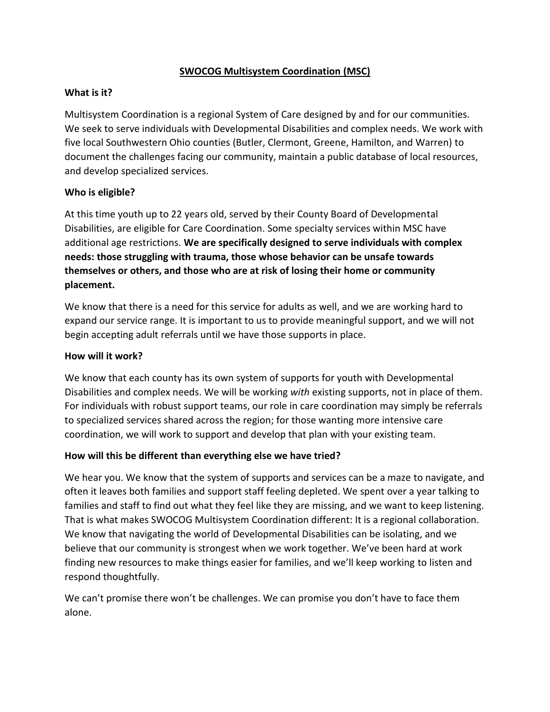# **SWOCOG Multisystem Coordination (MSC)**

## **What is it?**

Multisystem Coordination is a regional System of Care designed by and for our communities. We seek to serve individuals with Developmental Disabilities and complex needs. We work with five local Southwestern Ohio counties (Butler, Clermont, Greene, Hamilton, and Warren) to document the challenges facing our community, maintain a public database of local resources, and develop specialized services.

### **Who is eligible?**

At this time youth up to 22 years old, served by their County Board of Developmental Disabilities, are eligible for Care Coordination. Some specialty services within MSC have additional age restrictions. **We are specifically designed to serve individuals with complex needs: those struggling with trauma, those whose behavior can be unsafe towards themselves or others, and those who are at risk of losing their home or community placement.**

We know that there is a need for this service for adults as well, and we are working hard to expand our service range. It is important to us to provide meaningful support, and we will not begin accepting adult referrals until we have those supports in place.

#### **How will it work?**

We know that each county has its own system of supports for youth with Developmental Disabilities and complex needs. We will be working *with* existing supports, not in place of them. For individuals with robust support teams, our role in care coordination may simply be referrals to specialized services shared across the region; for those wanting more intensive care coordination, we will work to support and develop that plan with your existing team.

#### **How will this be different than everything else we have tried?**

We hear you. We know that the system of supports and services can be a maze to navigate, and often it leaves both families and support staff feeling depleted. We spent over a year talking to families and staff to find out what they feel like they are missing, and we want to keep listening. That is what makes SWOCOG Multisystem Coordination different: It is a regional collaboration. We know that navigating the world of Developmental Disabilities can be isolating, and we believe that our community is strongest when we work together. We've been hard at work finding new resources to make things easier for families, and we'll keep working to listen and respond thoughtfully.

We can't promise there won't be challenges. We can promise you don't have to face them alone.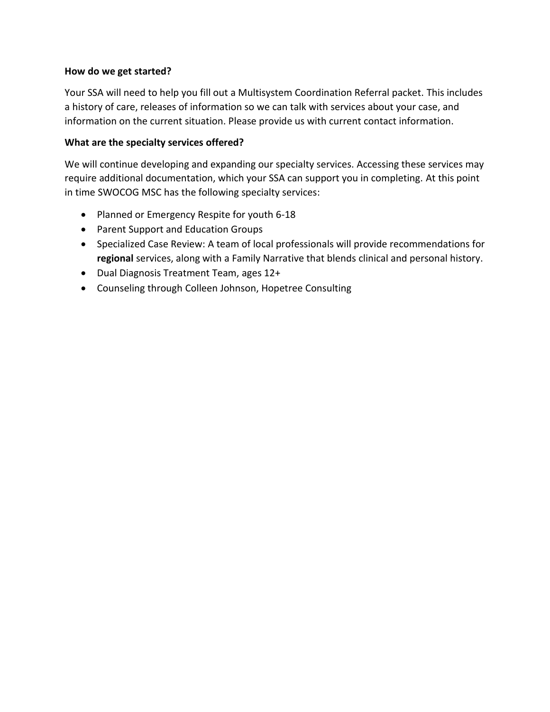#### **How do we get started?**

Your SSA will need to help you fill out a Multisystem Coordination Referral packet. This includes a history of care, releases of information so we can talk with services about your case, and information on the current situation. Please provide us with current contact information.

### **What are the specialty services offered?**

We will continue developing and expanding our specialty services. Accessing these services may require additional documentation, which your SSA can support you in completing. At this point in time SWOCOG MSC has the following specialty services:

- Planned or Emergency Respite for youth 6-18
- Parent Support and Education Groups
- Specialized Case Review: A team of local professionals will provide recommendations for **regional** services, along with a Family Narrative that blends clinical and personal history.
- Dual Diagnosis Treatment Team, ages 12+
- Counseling through Colleen Johnson, Hopetree Consulting